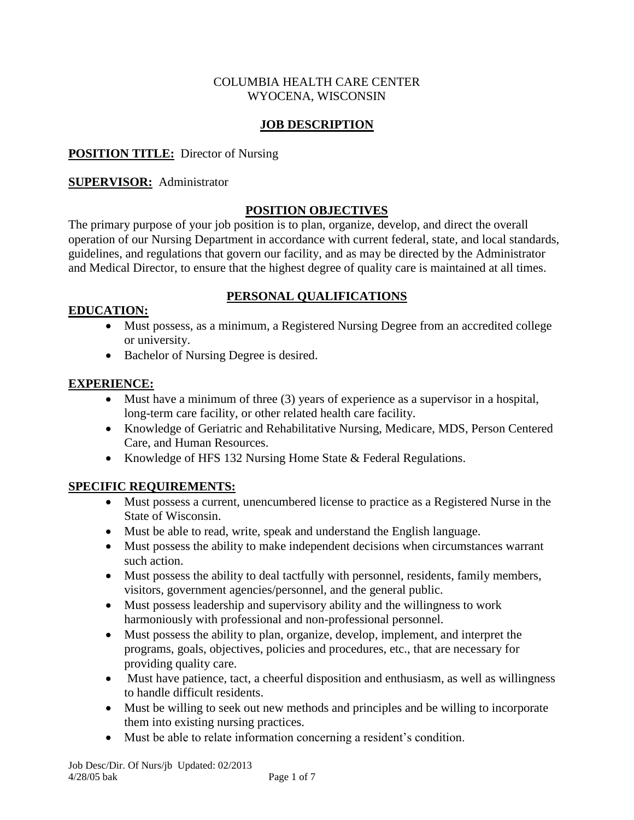#### COLUMBIA HEALTH CARE CENTER WYOCENA, WISCONSIN

## **JOB DESCRIPTION**

## **POSITION TITLE:** Director of Nursing

### **SUPERVISOR:** Administrator

### **POSITION OBJECTIVES**

The primary purpose of your job position is to plan, organize, develop, and direct the overall operation of our Nursing Department in accordance with current federal, state, and local standards, guidelines, and regulations that govern our facility, and as may be directed by the Administrator and Medical Director, to ensure that the highest degree of quality care is maintained at all times.

### **EDUCATION:**

## **PERSONAL QUALIFICATIONS**

- Must possess, as a minimum, a Registered Nursing Degree from an accredited college or university.
- Bachelor of Nursing Degree is desired.

### **EXPERIENCE:**

- Must have a minimum of three (3) years of experience as a supervisor in a hospital, long-term care facility, or other related health care facility.
- Knowledge of Geriatric and Rehabilitative Nursing, Medicare, MDS, Person Centered Care, and Human Resources.
- Knowledge of HFS 132 Nursing Home State & Federal Regulations.

### **SPECIFIC REQUIREMENTS:**

- Must possess a current, unencumbered license to practice as a Registered Nurse in the State of Wisconsin.
- Must be able to read, write, speak and understand the English language.
- Must possess the ability to make independent decisions when circumstances warrant such action.
- Must possess the ability to deal tactfully with personnel, residents, family members, visitors, government agencies/personnel, and the general public.
- Must possess leadership and supervisory ability and the willingness to work harmoniously with professional and non-professional personnel.
- Must possess the ability to plan, organize, develop, implement, and interpret the programs, goals, objectives, policies and procedures, etc., that are necessary for providing quality care.
- Must have patience, tact, a cheerful disposition and enthusiasm, as well as willingness to handle difficult residents.
- Must be willing to seek out new methods and principles and be willing to incorporate them into existing nursing practices.
- Must be able to relate information concerning a resident's condition.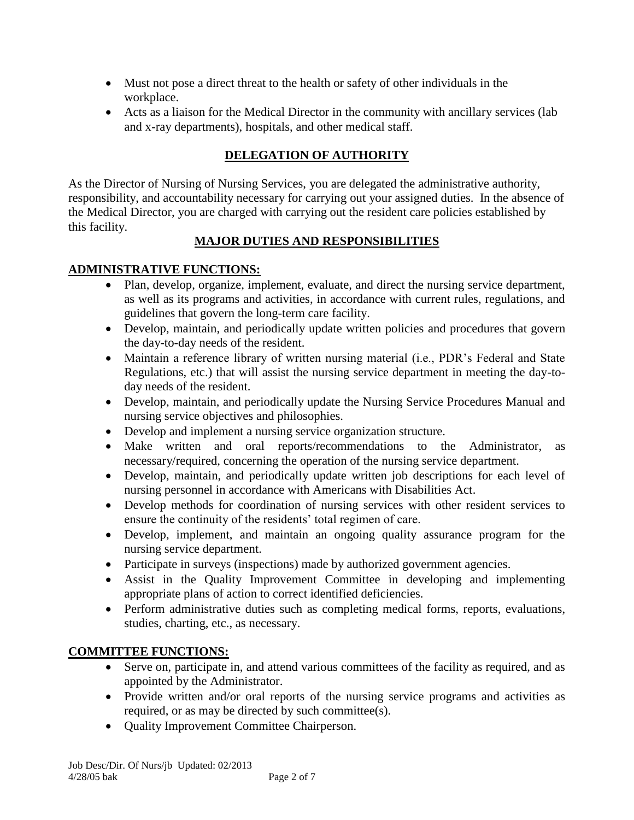- Must not pose a direct threat to the health or safety of other individuals in the workplace.
- Acts as a liaison for the Medical Director in the community with ancillary services (lab and x-ray departments), hospitals, and other medical staff.

# **DELEGATION OF AUTHORITY**

As the Director of Nursing of Nursing Services, you are delegated the administrative authority, responsibility, and accountability necessary for carrying out your assigned duties. In the absence of the Medical Director, you are charged with carrying out the resident care policies established by this facility.

# **MAJOR DUTIES AND RESPONSIBILITIES**

# **ADMINISTRATIVE FUNCTIONS:**

- Plan, develop, organize, implement, evaluate, and direct the nursing service department, as well as its programs and activities, in accordance with current rules, regulations, and guidelines that govern the long-term care facility.
- Develop, maintain, and periodically update written policies and procedures that govern the day-to-day needs of the resident.
- Maintain a reference library of written nursing material (i.e., PDR's Federal and State Regulations, etc.) that will assist the nursing service department in meeting the day-today needs of the resident.
- Develop, maintain, and periodically update the Nursing Service Procedures Manual and nursing service objectives and philosophies.
- Develop and implement a nursing service organization structure.
- Make written and oral reports/recommendations to the Administrator, as necessary/required, concerning the operation of the nursing service department.
- Develop, maintain, and periodically update written job descriptions for each level of nursing personnel in accordance with Americans with Disabilities Act.
- Develop methods for coordination of nursing services with other resident services to ensure the continuity of the residents' total regimen of care.
- Develop, implement, and maintain an ongoing quality assurance program for the nursing service department.
- Participate in surveys (inspections) made by authorized government agencies.
- Assist in the Quality Improvement Committee in developing and implementing appropriate plans of action to correct identified deficiencies.
- Perform administrative duties such as completing medical forms, reports, evaluations, studies, charting, etc., as necessary.

# **COMMITTEE FUNCTIONS:**

- Serve on, participate in, and attend various committees of the facility as required, and as appointed by the Administrator.
- Provide written and/or oral reports of the nursing service programs and activities as required, or as may be directed by such committee(s).
- Quality Improvement Committee Chairperson.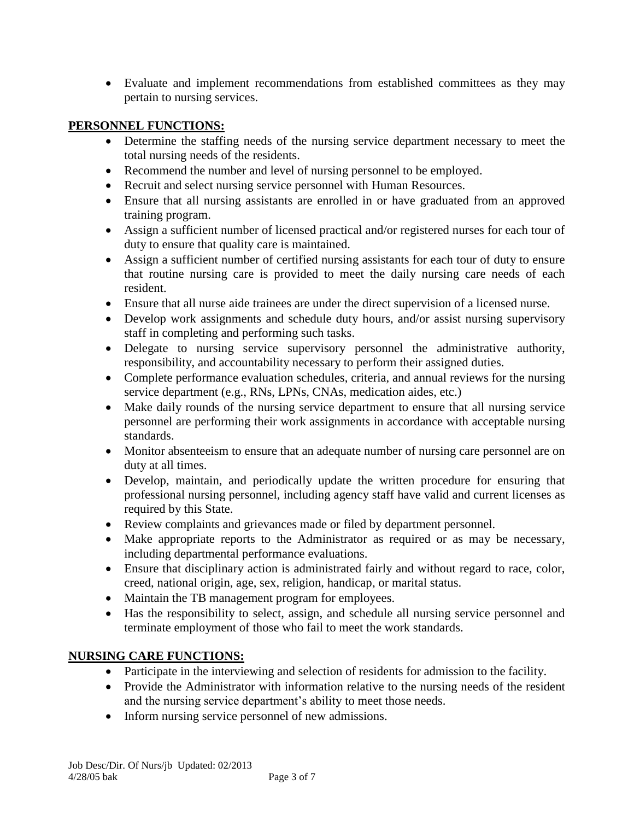• Evaluate and implement recommendations from established committees as they may pertain to nursing services.

## **PERSONNEL FUNCTIONS:**

- Determine the staffing needs of the nursing service department necessary to meet the total nursing needs of the residents.
- Recommend the number and level of nursing personnel to be employed.
- Recruit and select nursing service personnel with Human Resources.
- Ensure that all nursing assistants are enrolled in or have graduated from an approved training program.
- Assign a sufficient number of licensed practical and/or registered nurses for each tour of duty to ensure that quality care is maintained.
- Assign a sufficient number of certified nursing assistants for each tour of duty to ensure that routine nursing care is provided to meet the daily nursing care needs of each resident.
- Ensure that all nurse aide trainees are under the direct supervision of a licensed nurse.
- Develop work assignments and schedule duty hours, and/or assist nursing supervisory staff in completing and performing such tasks.
- Delegate to nursing service supervisory personnel the administrative authority, responsibility, and accountability necessary to perform their assigned duties.
- Complete performance evaluation schedules, criteria, and annual reviews for the nursing service department (e.g., RNs, LPNs, CNAs, medication aides, etc.)
- Make daily rounds of the nursing service department to ensure that all nursing service personnel are performing their work assignments in accordance with acceptable nursing standards.
- Monitor absenteeism to ensure that an adequate number of nursing care personnel are on duty at all times.
- Develop, maintain, and periodically update the written procedure for ensuring that professional nursing personnel, including agency staff have valid and current licenses as required by this State.
- Review complaints and grievances made or filed by department personnel.
- Make appropriate reports to the Administrator as required or as may be necessary, including departmental performance evaluations.
- Ensure that disciplinary action is administrated fairly and without regard to race, color, creed, national origin, age, sex, religion, handicap, or marital status.
- Maintain the TB management program for employees.
- Has the responsibility to select, assign, and schedule all nursing service personnel and terminate employment of those who fail to meet the work standards.

# **NURSING CARE FUNCTIONS:**

- Participate in the interviewing and selection of residents for admission to the facility.
- Provide the Administrator with information relative to the nursing needs of the resident and the nursing service department's ability to meet those needs.
- Inform nursing service personnel of new admissions.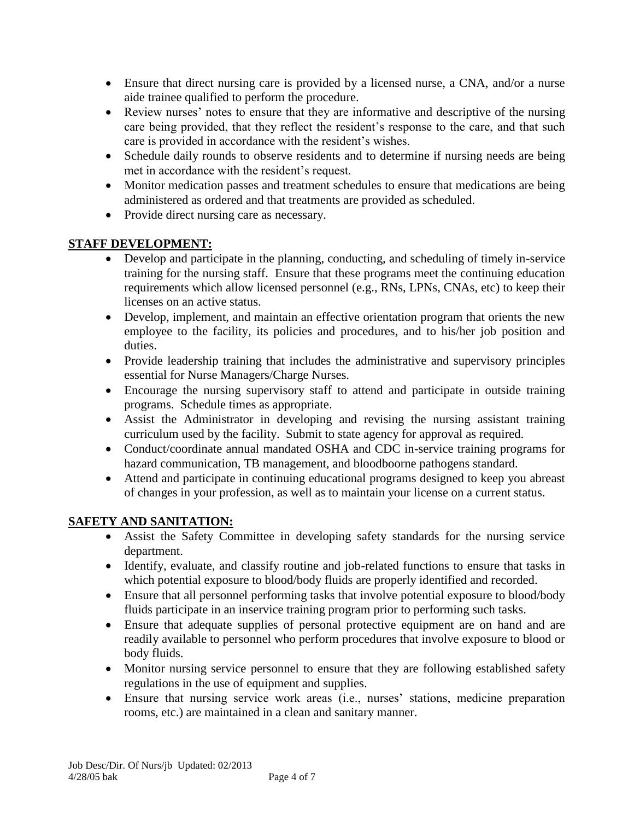- Ensure that direct nursing care is provided by a licensed nurse, a CNA, and/or a nurse aide trainee qualified to perform the procedure.
- Review nurses' notes to ensure that they are informative and descriptive of the nursing care being provided, that they reflect the resident's response to the care, and that such care is provided in accordance with the resident's wishes.
- Schedule daily rounds to observe residents and to determine if nursing needs are being met in accordance with the resident's request.
- Monitor medication passes and treatment schedules to ensure that medications are being administered as ordered and that treatments are provided as scheduled.
- Provide direct nursing care as necessary.

# **STAFF DEVELOPMENT:**

- Develop and participate in the planning, conducting, and scheduling of timely in-service training for the nursing staff. Ensure that these programs meet the continuing education requirements which allow licensed personnel (e.g., RNs, LPNs, CNAs, etc) to keep their licenses on an active status.
- Develop, implement, and maintain an effective orientation program that orients the new employee to the facility, its policies and procedures, and to his/her job position and duties.
- Provide leadership training that includes the administrative and supervisory principles essential for Nurse Managers/Charge Nurses.
- Encourage the nursing supervisory staff to attend and participate in outside training programs. Schedule times as appropriate.
- Assist the Administrator in developing and revising the nursing assistant training curriculum used by the facility. Submit to state agency for approval as required.
- Conduct/coordinate annual mandated OSHA and CDC in-service training programs for hazard communication, TB management, and bloodboorne pathogens standard.
- Attend and participate in continuing educational programs designed to keep you abreast of changes in your profession, as well as to maintain your license on a current status.

# **SAFETY AND SANITATION:**

- Assist the Safety Committee in developing safety standards for the nursing service department.
- Identify, evaluate, and classify routine and job-related functions to ensure that tasks in which potential exposure to blood/body fluids are properly identified and recorded.
- Ensure that all personnel performing tasks that involve potential exposure to blood/body fluids participate in an inservice training program prior to performing such tasks.
- Ensure that adequate supplies of personal protective equipment are on hand and are readily available to personnel who perform procedures that involve exposure to blood or body fluids.
- Monitor nursing service personnel to ensure that they are following established safety regulations in the use of equipment and supplies.
- Ensure that nursing service work areas (i.e., nurses' stations, medicine preparation rooms, etc.) are maintained in a clean and sanitary manner.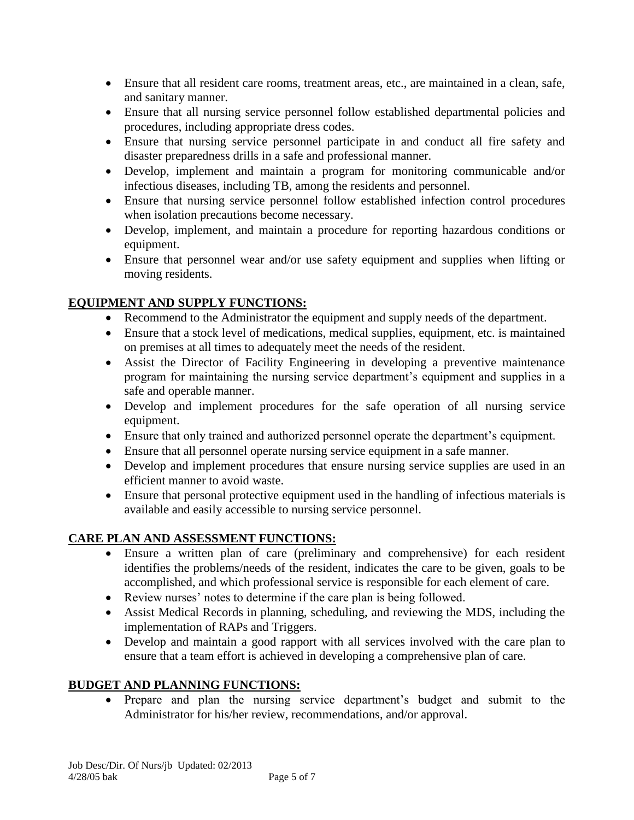- Ensure that all resident care rooms, treatment areas, etc., are maintained in a clean, safe, and sanitary manner.
- Ensure that all nursing service personnel follow established departmental policies and procedures, including appropriate dress codes.
- Ensure that nursing service personnel participate in and conduct all fire safety and disaster preparedness drills in a safe and professional manner.
- Develop, implement and maintain a program for monitoring communicable and/or infectious diseases, including TB, among the residents and personnel.
- Ensure that nursing service personnel follow established infection control procedures when isolation precautions become necessary.
- Develop, implement, and maintain a procedure for reporting hazardous conditions or equipment.
- Ensure that personnel wear and/or use safety equipment and supplies when lifting or moving residents.

# **EQUIPMENT AND SUPPLY FUNCTIONS:**

- Recommend to the Administrator the equipment and supply needs of the department.
- Ensure that a stock level of medications, medical supplies, equipment, etc. is maintained on premises at all times to adequately meet the needs of the resident.
- Assist the Director of Facility Engineering in developing a preventive maintenance program for maintaining the nursing service department's equipment and supplies in a safe and operable manner.
- Develop and implement procedures for the safe operation of all nursing service equipment.
- Ensure that only trained and authorized personnel operate the department's equipment.
- Ensure that all personnel operate nursing service equipment in a safe manner.
- Develop and implement procedures that ensure nursing service supplies are used in an efficient manner to avoid waste.
- Ensure that personal protective equipment used in the handling of infectious materials is available and easily accessible to nursing service personnel.

# **CARE PLAN AND ASSESSMENT FUNCTIONS:**

- Ensure a written plan of care (preliminary and comprehensive) for each resident identifies the problems/needs of the resident, indicates the care to be given, goals to be accomplished, and which professional service is responsible for each element of care.
- Review nurses' notes to determine if the care plan is being followed.
- Assist Medical Records in planning, scheduling, and reviewing the MDS, including the implementation of RAPs and Triggers.
- Develop and maintain a good rapport with all services involved with the care plan to ensure that a team effort is achieved in developing a comprehensive plan of care.

# **BUDGET AND PLANNING FUNCTIONS:**

• Prepare and plan the nursing service department's budget and submit to the Administrator for his/her review, recommendations, and/or approval.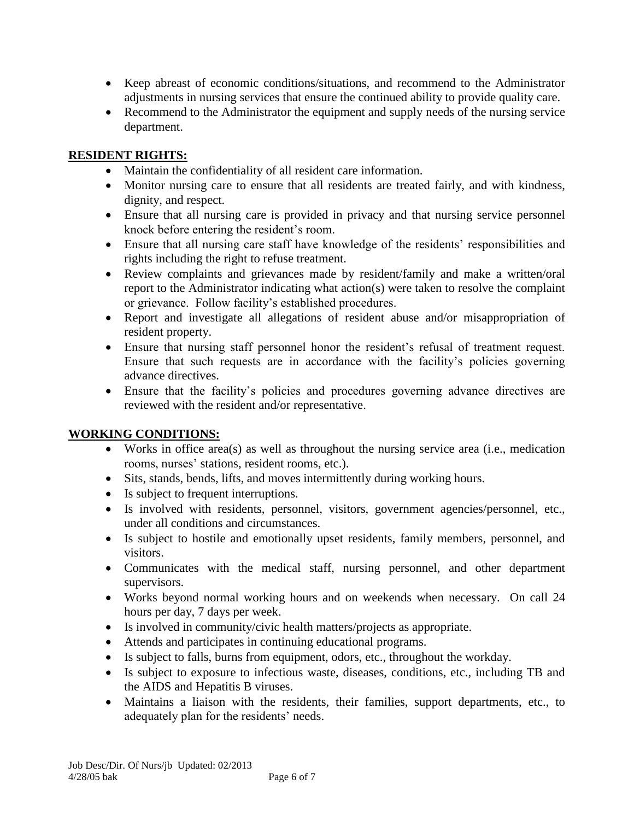- Keep abreast of economic conditions/situations, and recommend to the Administrator adjustments in nursing services that ensure the continued ability to provide quality care.
- Recommend to the Administrator the equipment and supply needs of the nursing service department.

#### **RESIDENT RIGHTS:**

- Maintain the confidentiality of all resident care information.
- Monitor nursing care to ensure that all residents are treated fairly, and with kindness, dignity, and respect.
- Ensure that all nursing care is provided in privacy and that nursing service personnel knock before entering the resident's room.
- Ensure that all nursing care staff have knowledge of the residents' responsibilities and rights including the right to refuse treatment.
- Review complaints and grievances made by resident/family and make a written/oral report to the Administrator indicating what action(s) were taken to resolve the complaint or grievance. Follow facility's established procedures.
- Report and investigate all allegations of resident abuse and/or misappropriation of resident property.
- Ensure that nursing staff personnel honor the resident's refusal of treatment request. Ensure that such requests are in accordance with the facility's policies governing advance directives.
- Ensure that the facility's policies and procedures governing advance directives are reviewed with the resident and/or representative.

#### **WORKING CONDITIONS:**

- Works in office area(s) as well as throughout the nursing service area (i.e., medication rooms, nurses' stations, resident rooms, etc.).
- Sits, stands, bends, lifts, and moves intermittently during working hours.
- Is subject to frequent interruptions.
- Is involved with residents, personnel, visitors, government agencies/personnel, etc., under all conditions and circumstances.
- Is subject to hostile and emotionally upset residents, family members, personnel, and visitors.
- Communicates with the medical staff, nursing personnel, and other department supervisors.
- Works beyond normal working hours and on weekends when necessary. On call 24 hours per day, 7 days per week.
- Is involved in community/civic health matters/projects as appropriate.
- Attends and participates in continuing educational programs.
- Is subject to falls, burns from equipment, odors, etc., throughout the workday.
- Is subject to exposure to infectious waste, diseases, conditions, etc., including TB and the AIDS and Hepatitis B viruses.
- Maintains a liaison with the residents, their families, support departments, etc., to adequately plan for the residents' needs.